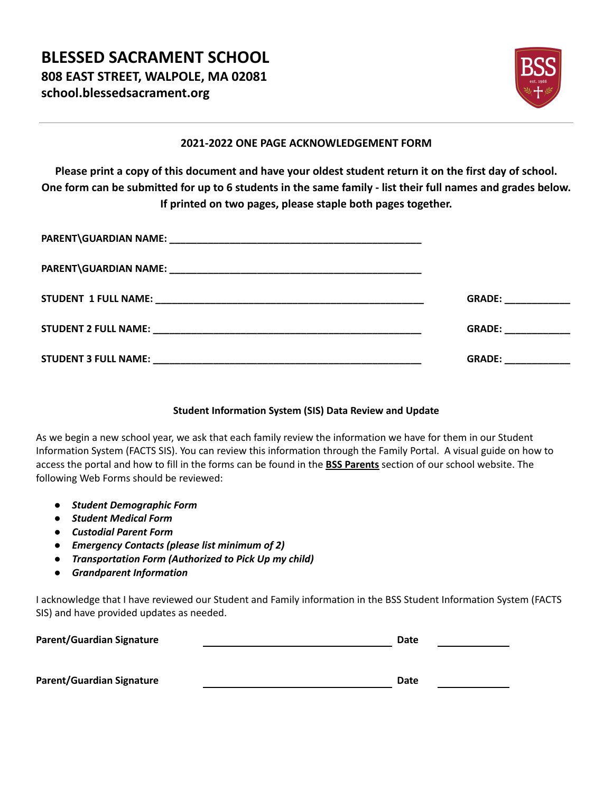

### **2021-2022 ONE PAGE ACKNOWLEDGEMENT FORM**

**Please print a copy of this document and have your oldest student return it on the first day of school. One form can be submitted for up to 6 students in the same family - list their full names and grades below. If printed on two pages, please staple both pages together.**

| GRADE: The contract of the contract of the contract of the contract of the contract of the contract of the contract of the contract of the contract of the contract of the contract of the contract of the contract of the con |
|--------------------------------------------------------------------------------------------------------------------------------------------------------------------------------------------------------------------------------|
| GRADE: ____________                                                                                                                                                                                                            |

### **Student Information System (SIS) Data Review and Update**

As we begin a new school year, we ask that each family review the information we have for them in our Student Information System (FACTS SIS). You can review this information through the Family Portal. A visual guide on how to access the portal and how to fill in the forms can be found in the **BSS Parents** section of our school website. The following Web Forms should be reviewed:

- *● Student Demographic Form*
- *● Student Medical Form*
- *● Custodial Parent Form*
- *● Emergency Contacts (please list minimum of 2)*
- *● Transportation Form (Authorized to Pick Up my child)*
- *● Grandparent Information*

I acknowledge that I have reviewed our Student and Family information in the BSS Student Information System (FACTS SIS) and have provided updates as needed.

| <b>Parent/Guardian Signature</b> | Date |
|----------------------------------|------|
|                                  |      |
| Parent/Guardian Signature        | Date |